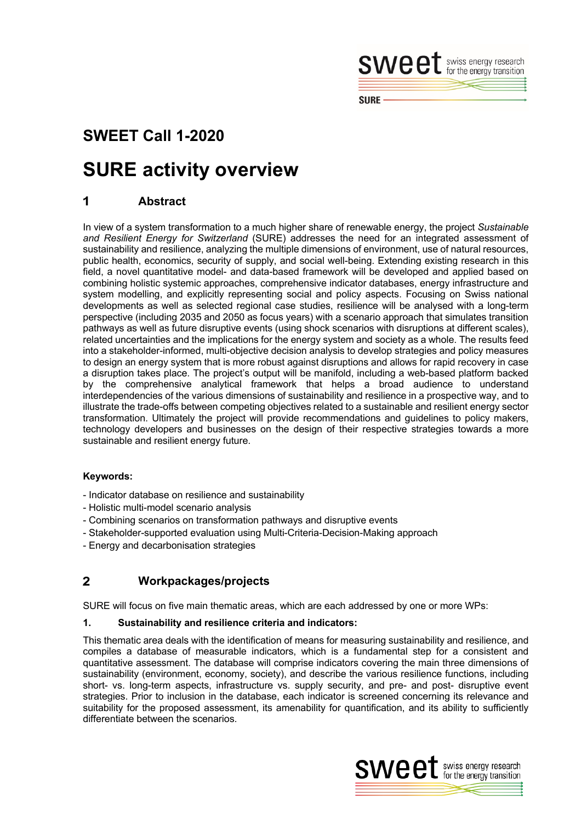

## **SWEET Call 1-2020**

# **SURE activity overview**

#### 1 **Abstract**

In view of a system transformation to a much higher share of renewable energy, the project *Sustainable and Resilient Energy for Switzerland* (SURE) addresses the need for an integrated assessment of sustainability and resilience, analyzing the multiple dimensions of environment, use of natural resources, public health, economics, security of supply, and social well-being. Extending existing research in this field, a novel quantitative model- and data-based framework will be developed and applied based on combining holistic systemic approaches, comprehensive indicator databases, energy infrastructure and system modelling, and explicitly representing social and policy aspects. Focusing on Swiss national developments as well as selected regional case studies, resilience will be analysed with a long-term perspective (including 2035 and 2050 as focus years) with a scenario approach that simulates transition pathways as well as future disruptive events (using shock scenarios with disruptions at different scales), related uncertainties and the implications for the energy system and society as a whole. The results feed into a stakeholder-informed, multi-objective decision analysis to develop strategies and policy measures to design an energy system that is more robust against disruptions and allows for rapid recovery in case a disruption takes place. The project's output will be manifold, including a web-based platform backed by the comprehensive analytical framework that helps a broad audience to understand interdependencies of the various dimensions of sustainability and resilience in a prospective way, and to illustrate the trade-offs between competing objectives related to a sustainable and resilient energy sector transformation. Ultimately the project will provide recommendations and guidelines to policy makers, technology developers and businesses on the design of their respective strategies towards a more sustainable and resilient energy future.

## **Keywords:**

- Indicator database on resilience and sustainability
- Holistic multi-model scenario analysis
- Combining scenarios on transformation pathways and disruptive events
- Stakeholder-supported evaluation using Multi-Criteria-Decision-Making approach
- Energy and decarbonisation strategies

#### $\overline{2}$ **Workpackages/projects**

SURE will focus on five main thematic areas, which are each addressed by one or more WPs:

### **1. Sustainability and resilience criteria and indicators:**

This thematic area deals with the identification of means for measuring sustainability and resilience, and compiles a database of measurable indicators, which is a fundamental step for a consistent and quantitative assessment. The database will comprise indicators covering the main three dimensions of sustainability (environment, economy, society), and describe the various resilience functions, including short- vs. long-term aspects, infrastructure vs. supply security, and pre- and post- disruptive event strategies. Prior to inclusion in the database, each indicator is screened concerning its relevance and suitability for the proposed assessment, its amenability for quantification, and its ability to sufficiently differentiate between the scenarios.

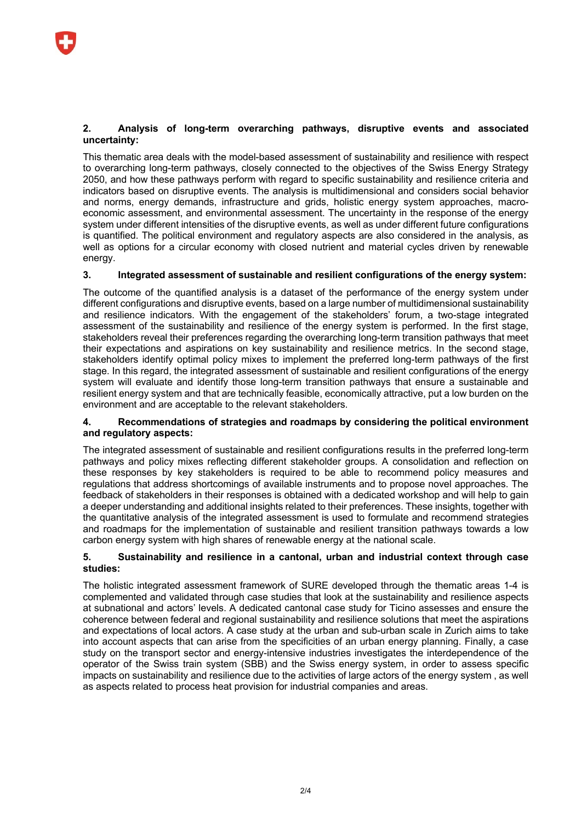#### **2. Analysis of long-term overarching pathways, disruptive events and associated uncertainty:**

This thematic area deals with the model-based assessment of sustainability and resilience with respect to overarching long-term pathways, closely connected to the objectives of the Swiss Energy Strategy 2050, and how these pathways perform with regard to specific sustainability and resilience criteria and indicators based on disruptive events. The analysis is multidimensional and considers social behavior and norms, energy demands, infrastructure and grids, holistic energy system approaches, macroeconomic assessment, and environmental assessment. The uncertainty in the response of the energy system under different intensities of the disruptive events, as well as under different future configurations is quantified. The political environment and regulatory aspects are also considered in the analysis, as well as options for a circular economy with closed nutrient and material cycles driven by renewable energy.

## **3. Integrated assessment of sustainable and resilient configurations of the energy system:**

The outcome of the quantified analysis is a dataset of the performance of the energy system under different configurations and disruptive events, based on a large number of multidimensional sustainability and resilience indicators. With the engagement of the stakeholders' forum, a two-stage integrated assessment of the sustainability and resilience of the energy system is performed. In the first stage, stakeholders reveal their preferences regarding the overarching long-term transition pathways that meet their expectations and aspirations on key sustainability and resilience metrics. In the second stage, stakeholders identify optimal policy mixes to implement the preferred long-term pathways of the first stage. In this regard, the integrated assessment of sustainable and resilient configurations of the energy system will evaluate and identify those long-term transition pathways that ensure a sustainable and resilient energy system and that are technically feasible, economically attractive, put a low burden on the environment and are acceptable to the relevant stakeholders.

#### **4. Recommendations of strategies and roadmaps by considering the political environment and regulatory aspects:**

The integrated assessment of sustainable and resilient configurations results in the preferred long-term pathways and policy mixes reflecting different stakeholder groups. A consolidation and reflection on these responses by key stakeholders is required to be able to recommend policy measures and regulations that address shortcomings of available instruments and to propose novel approaches. The feedback of stakeholders in their responses is obtained with a dedicated workshop and will help to gain a deeper understanding and additional insights related to their preferences. These insights, together with the quantitative analysis of the integrated assessment is used to formulate and recommend strategies and roadmaps for the implementation of sustainable and resilient transition pathways towards a low carbon energy system with high shares of renewable energy at the national scale.

#### **5. Sustainability and resilience in a cantonal, urban and industrial context through case studies:**

The holistic integrated assessment framework of SURE developed through the thematic areas 1-4 is complemented and validated through case studies that look at the sustainability and resilience aspects at subnational and actors' levels. A dedicated cantonal case study for Ticino assesses and ensure the coherence between federal and regional sustainability and resilience solutions that meet the aspirations and expectations of local actors. A case study at the urban and sub-urban scale in Zurich aims to take into account aspects that can arise from the specificities of an urban energy planning. Finally, a case study on the transport sector and energy-intensive industries investigates the interdependence of the operator of the Swiss train system (SBB) and the Swiss energy system, in order to assess specific impacts on sustainability and resilience due to the activities of large actors of the energy system , as well as aspects related to process heat provision for industrial companies and areas.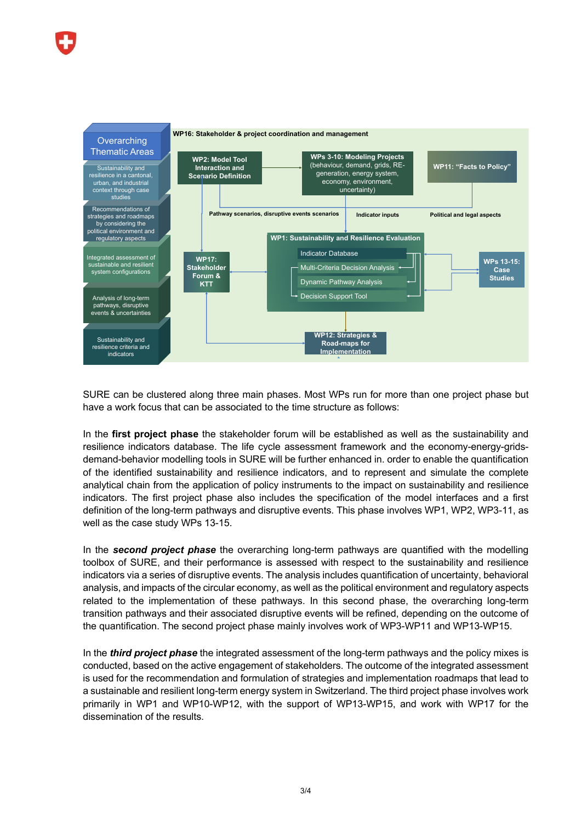

SURE can be clustered along three main phases. Most WPs run for more than one project phase but have a work focus that can be associated to the time structure as follows:

In the **first project phase** the stakeholder forum will be established as well as the sustainability and resilience indicators database. The life cycle assessment framework and the economy-energy-gridsdemand-behavior modelling tools in SURE will be further enhanced in. order to enable the quantification of the identified sustainability and resilience indicators, and to represent and simulate the complete analytical chain from the application of policy instruments to the impact on sustainability and resilience indicators. The first project phase also includes the specification of the model interfaces and a first definition of the long-term pathways and disruptive events. This phase involves WP1, WP2, WP3-11, as well as the case study WPs 13-15.

In the *second project phase* the overarching long-term pathways are quantified with the modelling toolbox of SURE, and their performance is assessed with respect to the sustainability and resilience indicators via a series of disruptive events. The analysis includes quantification of uncertainty, behavioral analysis, and impacts of the circular economy, as well as the political environment and regulatory aspects related to the implementation of these pathways. In this second phase, the overarching long-term transition pathways and their associated disruptive events will be refined, depending on the outcome of the quantification. The second project phase mainly involves work of WP3-WP11 and WP13-WP15.

In the *third project phase* the integrated assessment of the long-term pathways and the policy mixes is conducted, based on the active engagement of stakeholders. The outcome of the integrated assessment is used for the recommendation and formulation of strategies and implementation roadmaps that lead to a sustainable and resilient long-term energy system in Switzerland. The third project phase involves work primarily in WP1 and WP10-WP12, with the support of WP13-WP15, and work with WP17 for the dissemination of the results.